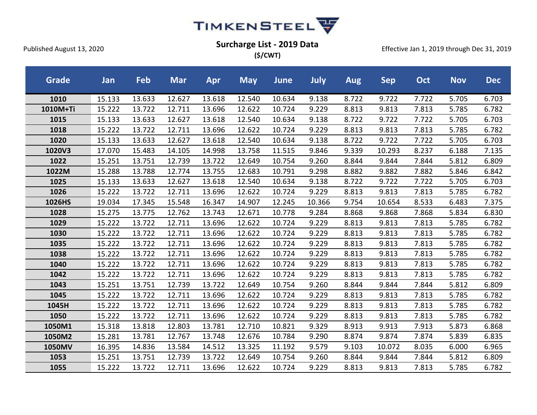

**(\$/CWT)**

| <b>Grade</b> | Jan    | Feb    | <b>Mar</b> | <b>Apr</b> | <b>May</b> | June   | July   | Aug   | <b>Sep</b> | Oct   | <b>Nov</b> | <b>Dec</b> |
|--------------|--------|--------|------------|------------|------------|--------|--------|-------|------------|-------|------------|------------|
| 1010         | 15.133 | 13.633 | 12.627     | 13.618     | 12.540     | 10.634 | 9.138  | 8.722 | 9.722      | 7.722 | 5.705      | 6.703      |
| 1010M+Ti     | 15.222 | 13.722 | 12.711     | 13.696     | 12.622     | 10.724 | 9.229  | 8.813 | 9.813      | 7.813 | 5.785      | 6.782      |
| 1015         | 15.133 | 13.633 | 12.627     | 13.618     | 12.540     | 10.634 | 9.138  | 8.722 | 9.722      | 7.722 | 5.705      | 6.703      |
| 1018         | 15.222 | 13.722 | 12.711     | 13.696     | 12.622     | 10.724 | 9.229  | 8.813 | 9.813      | 7.813 | 5.785      | 6.782      |
| 1020         | 15.133 | 13.633 | 12.627     | 13.618     | 12.540     | 10.634 | 9.138  | 8.722 | 9.722      | 7.722 | 5.705      | 6.703      |
| 1020V3       | 17.070 | 15.483 | 14.105     | 14.998     | 13.758     | 11.515 | 9.846  | 9.339 | 10.293     | 8.237 | 6.188      | 7.135      |
| 1022         | 15.251 | 13.751 | 12.739     | 13.722     | 12.649     | 10.754 | 9.260  | 8.844 | 9.844      | 7.844 | 5.812      | 6.809      |
| 1022M        | 15.288 | 13.788 | 12.774     | 13.755     | 12.683     | 10.791 | 9.298  | 8.882 | 9.882      | 7.882 | 5.846      | 6.842      |
| 1025         | 15.133 | 13.633 | 12.627     | 13.618     | 12.540     | 10.634 | 9.138  | 8.722 | 9.722      | 7.722 | 5.705      | 6.703      |
| 1026         | 15.222 | 13.722 | 12.711     | 13.696     | 12.622     | 10.724 | 9.229  | 8.813 | 9.813      | 7.813 | 5.785      | 6.782      |
| 1026HS       | 19.034 | 17.345 | 15.548     | 16.347     | 14.907     | 12.245 | 10.366 | 9.754 | 10.654     | 8.533 | 6.483      | 7.375      |
| 1028         | 15.275 | 13.775 | 12.762     | 13.743     | 12.671     | 10.778 | 9.284  | 8.868 | 9.868      | 7.868 | 5.834      | 6.830      |
| 1029         | 15.222 | 13.722 | 12.711     | 13.696     | 12.622     | 10.724 | 9.229  | 8.813 | 9.813      | 7.813 | 5.785      | 6.782      |
| 1030         | 15.222 | 13.722 | 12.711     | 13.696     | 12.622     | 10.724 | 9.229  | 8.813 | 9.813      | 7.813 | 5.785      | 6.782      |
| 1035         | 15.222 | 13.722 | 12.711     | 13.696     | 12.622     | 10.724 | 9.229  | 8.813 | 9.813      | 7.813 | 5.785      | 6.782      |
| 1038         | 15.222 | 13.722 | 12.711     | 13.696     | 12.622     | 10.724 | 9.229  | 8.813 | 9.813      | 7.813 | 5.785      | 6.782      |
| 1040         | 15.222 | 13.722 | 12.711     | 13.696     | 12.622     | 10.724 | 9.229  | 8.813 | 9.813      | 7.813 | 5.785      | 6.782      |
| 1042         | 15.222 | 13.722 | 12.711     | 13.696     | 12.622     | 10.724 | 9.229  | 8.813 | 9.813      | 7.813 | 5.785      | 6.782      |
| 1043         | 15.251 | 13.751 | 12.739     | 13.722     | 12.649     | 10.754 | 9.260  | 8.844 | 9.844      | 7.844 | 5.812      | 6.809      |
| 1045         | 15.222 | 13.722 | 12.711     | 13.696     | 12.622     | 10.724 | 9.229  | 8.813 | 9.813      | 7.813 | 5.785      | 6.782      |
| 1045H        | 15.222 | 13.722 | 12.711     | 13.696     | 12.622     | 10.724 | 9.229  | 8.813 | 9.813      | 7.813 | 5.785      | 6.782      |
| 1050         | 15.222 | 13.722 | 12.711     | 13.696     | 12.622     | 10.724 | 9.229  | 8.813 | 9.813      | 7.813 | 5.785      | 6.782      |
| 1050M1       | 15.318 | 13.818 | 12.803     | 13.781     | 12.710     | 10.821 | 9.329  | 8.913 | 9.913      | 7.913 | 5.873      | 6.868      |
| 1050M2       | 15.281 | 13.781 | 12.767     | 13.748     | 12.676     | 10.784 | 9.290  | 8.874 | 9.874      | 7.874 | 5.839      | 6.835      |
| 1050MV       | 16.395 | 14.836 | 13.584     | 14.512     | 13.325     | 11.192 | 9.579  | 9.103 | 10.072     | 8.035 | 6.000      | 6.965      |
| 1053         | 15.251 | 13.751 | 12.739     | 13.722     | 12.649     | 10.754 | 9.260  | 8.844 | 9.844      | 7.844 | 5.812      | 6.809      |
| 1055         | 15.222 | 13.722 | 12.711     | 13.696     | 12.622     | 10.724 | 9.229  | 8.813 | 9.813      | 7.813 | 5.785      | 6.782      |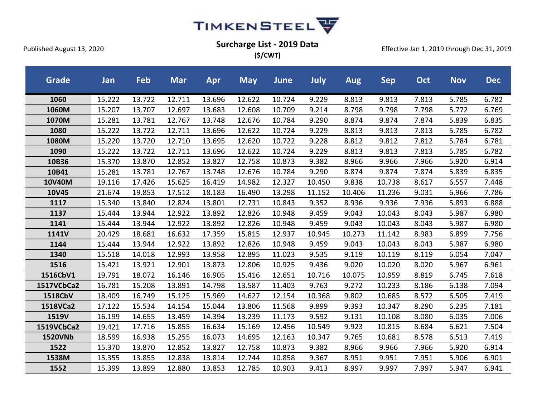

**(\$/CWT)**

| Grade          | Jan    | <b>Feb</b> | <b>Mar</b> | <b>Apr</b> | <b>May</b> | <b>June</b> | <b>July</b> | <b>Aug</b> | <b>Sep</b> | Oct   | <b>Nov</b> | <b>Dec</b> |
|----------------|--------|------------|------------|------------|------------|-------------|-------------|------------|------------|-------|------------|------------|
| 1060           | 15.222 | 13.722     | 12.711     | 13.696     | 12.622     | 10.724      | 9.229       | 8.813      | 9.813      | 7.813 | 5.785      | 6.782      |
| 1060M          | 15.207 | 13.707     | 12.697     | 13.683     | 12.608     | 10.709      | 9.214       | 8.798      | 9.798      | 7.798 | 5.772      | 6.769      |
| 1070M          | 15.281 | 13.781     | 12.767     | 13.748     | 12.676     | 10.784      | 9.290       | 8.874      | 9.874      | 7.874 | 5.839      | 6.835      |
| 1080           | 15.222 | 13.722     | 12.711     | 13.696     | 12.622     | 10.724      | 9.229       | 8.813      | 9.813      | 7.813 | 5.785      | 6.782      |
| 1080M          | 15.220 | 13.720     | 12.710     | 13.695     | 12.620     | 10.722      | 9.228       | 8.812      | 9.812      | 7.812 | 5.784      | 6.781      |
| 1090           | 15.222 | 13.722     | 12.711     | 13.696     | 12.622     | 10.724      | 9.229       | 8.813      | 9.813      | 7.813 | 5.785      | 6.782      |
| 10B36          | 15.370 | 13.870     | 12.852     | 13.827     | 12.758     | 10.873      | 9.382       | 8.966      | 9.966      | 7.966 | 5.920      | 6.914      |
| 10B41          | 15.281 | 13.781     | 12.767     | 13.748     | 12.676     | 10.784      | 9.290       | 8.874      | 9.874      | 7.874 | 5.839      | 6.835      |
| 10V40M         | 19.116 | 17.426     | 15.625     | 16.419     | 14.982     | 12.327      | 10.450      | 9.838      | 10.738     | 8.617 | 6.557      | 7.448      |
| 10V45          | 21.674 | 19.853     | 17.512     | 18.183     | 16.490     | 13.298      | 11.152      | 10.406     | 11.236     | 9.031 | 6.966      | 7.786      |
| 1117           | 15.340 | 13.840     | 12.824     | 13.801     | 12.731     | 10.843      | 9.352       | 8.936      | 9.936      | 7.936 | 5.893      | 6.888      |
| 1137           | 15.444 | 13.944     | 12.922     | 13.892     | 12.826     | 10.948      | 9.459       | 9.043      | 10.043     | 8.043 | 5.987      | 6.980      |
| 1141           | 15.444 | 13.944     | 12.922     | 13.892     | 12.826     | 10.948      | 9.459       | 9.043      | 10.043     | 8.043 | 5.987      | 6.980      |
| 1141V          | 20.429 | 18.681     | 16.632     | 17.359     | 15.815     | 12.937      | 10.945      | 10.273     | 11.142     | 8.983 | 6.899      | 7.756      |
| 1144           | 15.444 | 13.944     | 12.922     | 13.892     | 12.826     | 10.948      | 9.459       | 9.043      | 10.043     | 8.043 | 5.987      | 6.980      |
| 1340           | 15.518 | 14.018     | 12.993     | 13.958     | 12.895     | 11.023      | 9.535       | 9.119      | 10.119     | 8.119 | 6.054      | 7.047      |
| 1516           | 15.421 | 13.921     | 12.901     | 13.873     | 12.806     | 10.925      | 9.436       | 9.020      | 10.020     | 8.020 | 5.967      | 6.961      |
| 1516CbV1       | 19.791 | 18.072     | 16.146     | 16.905     | 15.416     | 12.651      | 10.716      | 10.075     | 10.959     | 8.819 | 6.745      | 7.618      |
| 1517VCbCa2     | 16.781 | 15.208     | 13.891     | 14.798     | 13.587     | 11.403      | 9.763       | 9.272      | 10.233     | 8.186 | 6.138      | 7.094      |
| 1518CbV        | 18.409 | 16.749     | 15.125     | 15.969     | 14.627     | 12.154      | 10.368      | 9.802      | 10.685     | 8.572 | 6.505      | 7.419      |
| 1518VCa2       | 17.122 | 15.534     | 14.154     | 15.044     | 13.806     | 11.568      | 9.899       | 9.393      | 10.347     | 8.290 | 6.235      | 7.181      |
| 1519V          | 16.199 | 14.655     | 13.459     | 14.394     | 13.239     | 11.173      | 9.592       | 9.131      | 10.108     | 8.080 | 6.035      | 7.006      |
| 1519VCbCa2     | 19.421 | 17.716     | 15.855     | 16.634     | 15.169     | 12.456      | 10.549      | 9.923      | 10.815     | 8.684 | 6.621      | 7.504      |
| <b>1520VNb</b> | 18.599 | 16.938     | 15.255     | 16.073     | 14.695     | 12.163      | 10.347      | 9.765      | 10.681     | 8.578 | 6.513      | 7.419      |
| 1522           | 15.370 | 13.870     | 12.852     | 13.827     | 12.758     | 10.873      | 9.382       | 8.966      | 9.966      | 7.966 | 5.920      | 6.914      |
| 1538M          | 15.355 | 13.855     | 12.838     | 13.814     | 12.744     | 10.858      | 9.367       | 8.951      | 9.951      | 7.951 | 5.906      | 6.901      |
| 1552           | 15.399 | 13.899     | 12.880     | 13.853     | 12.785     | 10.903      | 9.413       | 8.997      | 9.997      | 7.997 | 5.947      | 6.941      |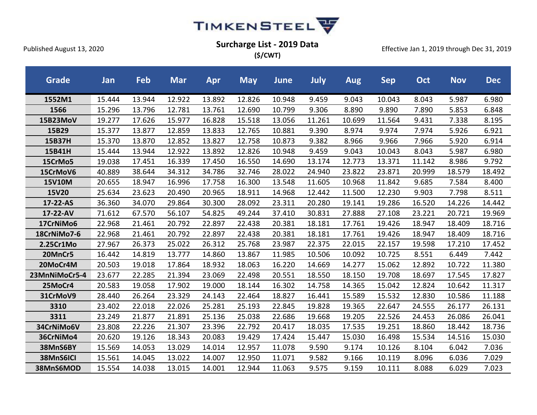

| Grade         | Jan    | <b>Feb</b> | <b>Mar</b> | Apr    | <b>May</b> | June   | July   | <b>Aug</b> | <b>Sep</b> | Oct    | <b>Nov</b> | <b>Dec</b> |
|---------------|--------|------------|------------|--------|------------|--------|--------|------------|------------|--------|------------|------------|
| 1552M1        | 15.444 | 13.944     | 12.922     | 13.892 | 12.826     | 10.948 | 9.459  | 9.043      | 10.043     | 8.043  | 5.987      | 6.980      |
| 1566          | 15.296 | 13.796     | 12.781     | 13.761 | 12.690     | 10.799 | 9.306  | 8.890      | 9.890      | 7.890  | 5.853      | 6.848      |
| 15B23MoV      | 19.277 | 17.626     | 15.977     | 16.828 | 15.518     | 13.056 | 11.261 | 10.699     | 11.564     | 9.431  | 7.338      | 8.195      |
| 15B29         | 15.377 | 13.877     | 12.859     | 13.833 | 12.765     | 10.881 | 9.390  | 8.974      | 9.974      | 7.974  | 5.926      | 6.921      |
| 15B37H        | 15.370 | 13.870     | 12.852     | 13.827 | 12.758     | 10.873 | 9.382  | 8.966      | 9.966      | 7.966  | 5.920      | 6.914      |
| 15B41H        | 15.444 | 13.944     | 12.922     | 13.892 | 12.826     | 10.948 | 9.459  | 9.043      | 10.043     | 8.043  | 5.987      | 6.980      |
| 15CrMo5       | 19.038 | 17.451     | 16.339     | 17.450 | 16.550     | 14.690 | 13.174 | 12.773     | 13.371     | 11.142 | 8.986      | 9.792      |
| 15CrMoV6      | 40.889 | 38.644     | 34.312     | 34.786 | 32.746     | 28.022 | 24.940 | 23.822     | 23.871     | 20.999 | 18.579     | 18.492     |
| 15V10M        | 20.655 | 18.947     | 16.996     | 17.758 | 16.300     | 13.548 | 11.605 | 10.968     | 11.842     | 9.685  | 7.584      | 8.400      |
| 15V20         | 25.634 | 23.623     | 20.490     | 20.965 | 18.911     | 14.968 | 12.442 | 11.500     | 12.230     | 9.903  | 7.798      | 8.511      |
| 17-22-AS      | 36.360 | 34.070     | 29.864     | 30.300 | 28.092     | 23.311 | 20.280 | 19.141     | 19.286     | 16.520 | 14.226     | 14.442     |
| 17-22-AV      | 71.612 | 67.570     | 56.107     | 54.825 | 49.244     | 37.410 | 30.831 | 27.888     | 27.108     | 23.221 | 20.721     | 19.969     |
| 17CrNiMo6     | 22.968 | 21.461     | 20.792     | 22.897 | 22.438     | 20.381 | 18.181 | 17.761     | 19.426     | 18.947 | 18.409     | 18.716     |
| 18CrNiMo7-6   | 22.968 | 21.461     | 20.792     | 22.897 | 22.438     | 20.381 | 18.181 | 17.761     | 19.426     | 18.947 | 18.409     | 18.716     |
| 2.25Cr1Mo     | 27.967 | 26.373     | 25.022     | 26.312 | 25.768     | 23.987 | 22.375 | 22.015     | 22.157     | 19.598 | 17.210     | 17.452     |
| 20MnCr5       | 16.442 | 14.819     | 13.777     | 14.860 | 13.867     | 11.985 | 10.506 | 10.092     | 10.725     | 8.551  | 6.449      | 7.442      |
| 20MoCr4M      | 20.503 | 19.018     | 17.864     | 18.932 | 18.063     | 16.220 | 14.669 | 14.277     | 15.062     | 12.892 | 10.722     | 11.380     |
| 23MnNiMoCr5-4 | 23.677 | 22.285     | 21.394     | 23.069 | 22.498     | 20.551 | 18.550 | 18.150     | 19.708     | 18.697 | 17.545     | 17.827     |
| 25MoCr4       | 20.583 | 19.058     | 17.902     | 19.000 | 18.144     | 16.302 | 14.758 | 14.365     | 15.042     | 12.824 | 10.642     | 11.317     |
| 31CrMoV9      | 28.440 | 26.264     | 23.329     | 24.143 | 22.464     | 18.827 | 16.441 | 15.589     | 15.532     | 12.830 | 10.586     | 11.188     |
| 3310          | 23.402 | 22.018     | 22.026     | 25.281 | 25.193     | 22.845 | 19.828 | 19.365     | 22.647     | 24.555 | 26.177     | 26.131     |
| 3311          | 23.249 | 21.877     | 21.891     | 25.136 | 25.038     | 22.686 | 19.668 | 19.205     | 22.526     | 24.453 | 26.086     | 26.041     |
| 34CrNiMo6V    | 23.808 | 22.226     | 21.307     | 23.396 | 22.792     | 20.417 | 18.035 | 17.535     | 19.251     | 18.860 | 18.442     | 18.736     |
| 36CrNiMo4     | 20.620 | 19.126     | 18.343     | 20.083 | 19.429     | 17.424 | 15.447 | 15.030     | 16.498     | 15.534 | 14.516     | 15.030     |
| 38MnS6BY      | 15.569 | 14.053     | 13.029     | 14.014 | 12.957     | 11.078 | 9.590  | 9.174      | 10.126     | 8.104  | 6.042      | 7.036      |
| 38MnS6ICI     | 15.561 | 14.045     | 13.022     | 14.007 | 12.950     | 11.071 | 9.582  | 9.166      | 10.119     | 8.096  | 6.036      | 7.029      |
| 38MnS6MOD     | 15.554 | 14.038     | 13.015     | 14.001 | 12.944     | 11.063 | 9.575  | 9.159      | 10.111     | 8.088  | 6.029      | 7.023      |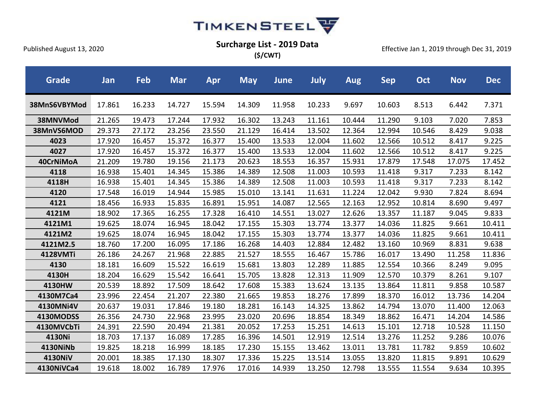

**(\$/CWT)**

| Grade        | Jan    | Feb    | <b>Mar</b> | <b>Apr</b> | May    | <b>June</b> | July   | <b>Aug</b> | <b>Sep</b> | Oct    | <b>Nov</b> | <b>Dec</b> |
|--------------|--------|--------|------------|------------|--------|-------------|--------|------------|------------|--------|------------|------------|
| 38MnS6VBYMod | 17.861 | 16.233 | 14.727     | 15.594     | 14.309 | 11.958      | 10.233 | 9.697      | 10.603     | 8.513  | 6.442      | 7.371      |
| 38MNVMod     | 21.265 | 19.473 | 17.244     | 17.932     | 16.302 | 13.243      | 11.161 | 10.444     | 11.290     | 9.103  | 7.020      | 7.853      |
| 38MnVS6MOD   | 29.373 | 27.172 | 23.256     | 23.550     | 21.129 | 16.414      | 13.502 | 12.364     | 12.994     | 10.546 | 8.429      | 9.038      |
| 4023         | 17.920 | 16.457 | 15.372     | 16.377     | 15.400 | 13.533      | 12.004 | 11.602     | 12.566     | 10.512 | 8.417      | 9.225      |
| 4027         | 17.920 | 16.457 | 15.372     | 16.377     | 15.400 | 13.533      | 12.004 | 11.602     | 12.566     | 10.512 | 8.417      | 9.225      |
| 40CrNiMoA    | 21.209 | 19.780 | 19.156     | 21.173     | 20.623 | 18.553      | 16.357 | 15.931     | 17.879     | 17.548 | 17.075     | 17.452     |
| 4118         | 16.938 | 15.401 | 14.345     | 15.386     | 14.389 | 12.508      | 11.003 | 10.593     | 11.418     | 9.317  | 7.233      | 8.142      |
| 4118H        | 16.938 | 15.401 | 14.345     | 15.386     | 14.389 | 12.508      | 11.003 | 10.593     | 11.418     | 9.317  | 7.233      | 8.142      |
| 4120         | 17.548 | 16.019 | 14.944     | 15.985     | 15.010 | 13.141      | 11.631 | 11.224     | 12.042     | 9.930  | 7.824      | 8.694      |
| 4121         | 18.456 | 16.933 | 15.835     | 16.891     | 15.951 | 14.087      | 12.565 | 12.163     | 12.952     | 10.814 | 8.690      | 9.497      |
| 4121M        | 18.902 | 17.365 | 16.255     | 17.328     | 16.410 | 14.551      | 13.027 | 12.626     | 13.357     | 11.187 | 9.045      | 9.833      |
| 4121M1       | 19.625 | 18.074 | 16.945     | 18.042     | 17.155 | 15.303      | 13.774 | 13.377     | 14.036     | 11.825 | 9.661      | 10.411     |
| 4121M2       | 19.625 | 18.074 | 16.945     | 18.042     | 17.155 | 15.303      | 13.774 | 13.377     | 14.036     | 11.825 | 9.661      | 10.411     |
| 4121M2.5     | 18.760 | 17.200 | 16.095     | 17.186     | 16.268 | 14.403      | 12.884 | 12.482     | 13.160     | 10.969 | 8.831      | 9.638      |
| 4128VMTi     | 26.186 | 24.267 | 21.968     | 22.885     | 21.527 | 18.555      | 16.467 | 15.786     | 16.017     | 13.490 | 11.258     | 11.836     |
| 4130         | 18.181 | 16.609 | 15.522     | 16.619     | 15.681 | 13.803      | 12.289 | 11.885     | 12.554     | 10.366 | 8.249      | 9.095      |
| 4130H        | 18.204 | 16.629 | 15.542     | 16.641     | 15.705 | 13.828      | 12.313 | 11.909     | 12.570     | 10.379 | 8.261      | 9.107      |
| 4130HW       | 20.539 | 18.892 | 17.509     | 18.642     | 17.608 | 15.383      | 13.624 | 13.135     | 13.864     | 11.811 | 9.858      | 10.587     |
| 4130M7Ca4    | 23.996 | 22.454 | 21.207     | 22.380     | 21.665 | 19.853      | 18.276 | 17.899     | 18.370     | 16.012 | 13.736     | 14.204     |
| 4130MNi4V    | 20.637 | 19.031 | 17.846     | 19.180     | 18.281 | 16.143      | 14.325 | 13.862     | 14.794     | 13.070 | 11.400     | 12.063     |
| 4130MODSS    | 26.356 | 24.730 | 22.968     | 23.995     | 23.020 | 20.696      | 18.854 | 18.349     | 18.862     | 16.471 | 14.204     | 14.586     |
| 4130MVCbTi   | 24.391 | 22.590 | 20.494     | 21.381     | 20.052 | 17.253      | 15.251 | 14.613     | 15.101     | 12.718 | 10.528     | 11.150     |
| 4130Ni       | 18.703 | 17.137 | 16.089     | 17.285     | 16.396 | 14.501      | 12.919 | 12.514     | 13.276     | 11.252 | 9.286      | 10.076     |
| 4130NiNb     | 19.825 | 18.218 | 16.999     | 18.185     | 17.230 | 15.155      | 13.462 | 13.011     | 13.781     | 11.782 | 9.859      | 10.602     |
| 4130NiV      | 20.001 | 18.385 | 17.130     | 18.307     | 17.336 | 15.225      | 13.514 | 13.055     | 13.820     | 11.815 | 9.891      | 10.629     |
| 4130NiVCa4   | 19.618 | 18.002 | 16.789     | 17.976     | 17.016 | 14.939      | 13.250 | 12.798     | 13.555     | 11.554 | 9.634      | 10.395     |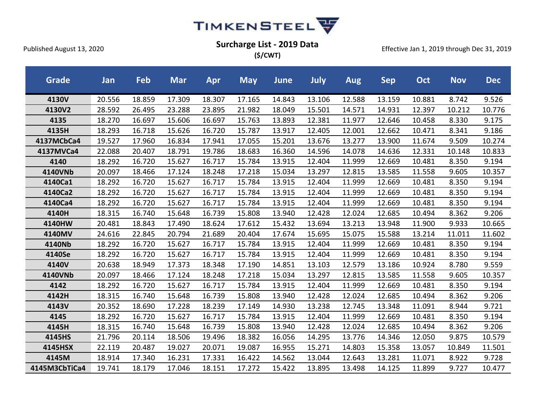

**(\$/CWT)**

| <b>Grade</b>  | Jan    | Feb    | <b>Mar</b> | Apr    | <b>May</b> | <b>June</b> | July   | Aug    | <b>Sep</b> | Oct    | <b>Nov</b> | <b>Dec</b> |
|---------------|--------|--------|------------|--------|------------|-------------|--------|--------|------------|--------|------------|------------|
| 4130V         | 20.556 | 18.859 | 17.309     | 18.307 | 17.165     | 14.843      | 13.106 | 12.588 | 13.159     | 10.881 | 8.742      | 9.526      |
| 4130V2        | 28.592 | 26.495 | 23.288     | 23.895 | 21.982     | 18.049      | 15.501 | 14.571 | 14.931     | 12.397 | 10.212     | 10.776     |
| 4135          | 18.270 | 16.697 | 15.606     | 16.697 | 15.763     | 13.893      | 12.381 | 11.977 | 12.646     | 10.458 | 8.330      | 9.175      |
| 4135H         | 18.293 | 16.718 | 15.626     | 16.720 | 15.787     | 13.917      | 12.405 | 12.001 | 12.662     | 10.471 | 8.341      | 9.186      |
| 4137MCbCa4    | 19.527 | 17.960 | 16.834     | 17.941 | 17.055     | 15.201      | 13.676 | 13.277 | 13.900     | 11.674 | 9.509      | 10.274     |
| 4137MVCa4     | 22.088 | 20.407 | 18.791     | 19.786 | 18.683     | 16.360      | 14.596 | 14.078 | 14.636     | 12.331 | 10.148     | 10.833     |
| 4140          | 18.292 | 16.720 | 15.627     | 16.717 | 15.784     | 13.915      | 12.404 | 11.999 | 12.669     | 10.481 | 8.350      | 9.194      |
| 4140VNb       | 20.097 | 18.466 | 17.124     | 18.248 | 17.218     | 15.034      | 13.297 | 12.815 | 13.585     | 11.558 | 9.605      | 10.357     |
| 4140Ca1       | 18.292 | 16.720 | 15.627     | 16.717 | 15.784     | 13.915      | 12.404 | 11.999 | 12.669     | 10.481 | 8.350      | 9.194      |
| 4140Ca2       | 18.292 | 16.720 | 15.627     | 16.717 | 15.784     | 13.915      | 12.404 | 11.999 | 12.669     | 10.481 | 8.350      | 9.194      |
| 4140Ca4       | 18.292 | 16.720 | 15.627     | 16.717 | 15.784     | 13.915      | 12.404 | 11.999 | 12.669     | 10.481 | 8.350      | 9.194      |
| 4140H         | 18.315 | 16.740 | 15.648     | 16.739 | 15.808     | 13.940      | 12.428 | 12.024 | 12.685     | 10.494 | 8.362      | 9.206      |
| 4140HW        | 20.481 | 18.843 | 17.490     | 18.624 | 17.612     | 15.432      | 13.694 | 13.213 | 13.948     | 11.900 | 9.933      | 10.665     |
| 4140MV        | 24.616 | 22.845 | 20.794     | 21.689 | 20.404     | 17.674      | 15.695 | 15.075 | 15.588     | 13.214 | 11.011     | 11.602     |
| 4140Nb        | 18.292 | 16.720 | 15.627     | 16.717 | 15.784     | 13.915      | 12.404 | 11.999 | 12.669     | 10.481 | 8.350      | 9.194      |
| 4140Se        | 18.292 | 16.720 | 15.627     | 16.717 | 15.784     | 13.915      | 12.404 | 11.999 | 12.669     | 10.481 | 8.350      | 9.194      |
| 4140V         | 20.638 | 18.949 | 17.373     | 18.348 | 17.190     | 14.851      | 13.103 | 12.579 | 13.186     | 10.924 | 8.780      | 9.559      |
| 4140VNb       | 20.097 | 18.466 | 17.124     | 18.248 | 17.218     | 15.034      | 13.297 | 12.815 | 13.585     | 11.558 | 9.605      | 10.357     |
| 4142          | 18.292 | 16.720 | 15.627     | 16.717 | 15.784     | 13.915      | 12.404 | 11.999 | 12.669     | 10.481 | 8.350      | 9.194      |
| 4142H         | 18.315 | 16.740 | 15.648     | 16.739 | 15.808     | 13.940      | 12.428 | 12.024 | 12.685     | 10.494 | 8.362      | 9.206      |
| 4143V         | 20.352 | 18.690 | 17.228     | 18.239 | 17.149     | 14.930      | 13.238 | 12.745 | 13.348     | 11.091 | 8.944      | 9.721      |
| 4145          | 18.292 | 16.720 | 15.627     | 16.717 | 15.784     | 13.915      | 12.404 | 11.999 | 12.669     | 10.481 | 8.350      | 9.194      |
| 4145H         | 18.315 | 16.740 | 15.648     | 16.739 | 15.808     | 13.940      | 12.428 | 12.024 | 12.685     | 10.494 | 8.362      | 9.206      |
| 4145HS        | 21.796 | 20.114 | 18.506     | 19.496 | 18.382     | 16.056      | 14.295 | 13.776 | 14.346     | 12.050 | 9.875      | 10.579     |
| 4145HSX       | 22.119 | 20.487 | 19.027     | 20.071 | 19.087     | 16.955      | 15.271 | 14.803 | 15.358     | 13.057 | 10.849     | 11.501     |
| 4145M         | 18.914 | 17.340 | 16.231     | 17.331 | 16.422     | 14.562      | 13.044 | 12.643 | 13.281     | 11.071 | 8.922      | 9.728      |
| 4145M3CbTiCa4 | 19.741 | 18.179 | 17.046     | 18.151 | 17.272     | 15.422      | 13.895 | 13.498 | 14.125     | 11.899 | 9.727      | 10.477     |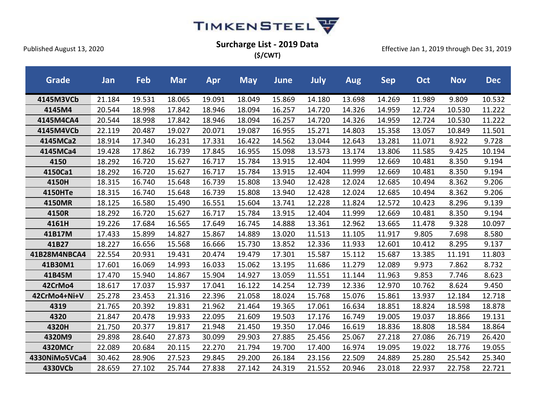

**(\$/CWT)**

| <b>Grade</b>   | Jan    | Feb    | <b>Mar</b> | Apr    | <b>May</b> | <b>June</b> | July   | Aug    | <b>Sep</b> | Oct    | <b>Nov</b> | <b>Dec</b> |
|----------------|--------|--------|------------|--------|------------|-------------|--------|--------|------------|--------|------------|------------|
| 4145M3VCb      | 21.184 | 19.531 | 18.065     | 19.091 | 18.049     | 15.869      | 14.180 | 13.698 | 14.269     | 11.989 | 9.809      | 10.532     |
| 4145M4         | 20.544 | 18.998 | 17.842     | 18.946 | 18.094     | 16.257      | 14.720 | 14.326 | 14.959     | 12.724 | 10.530     | 11.222     |
| 4145M4CA4      | 20.544 | 18.998 | 17.842     | 18.946 | 18.094     | 16.257      | 14.720 | 14.326 | 14.959     | 12.724 | 10.530     | 11.222     |
| 4145M4VCb      | 22.119 | 20.487 | 19.027     | 20.071 | 19.087     | 16.955      | 15.271 | 14.803 | 15.358     | 13.057 | 10.849     | 11.501     |
| 4145MCa2       | 18.914 | 17.340 | 16.231     | 17.331 | 16.422     | 14.562      | 13.044 | 12.643 | 13.281     | 11.071 | 8.922      | 9.728      |
| 4145MCa4       | 19.428 | 17.862 | 16.739     | 17.845 | 16.955     | 15.098      | 13.573 | 13.174 | 13.806     | 11.585 | 9.425      | 10.194     |
| 4150           | 18.292 | 16.720 | 15.627     | 16.717 | 15.784     | 13.915      | 12.404 | 11.999 | 12.669     | 10.481 | 8.350      | 9.194      |
| 4150Ca1        | 18.292 | 16.720 | 15.627     | 16.717 | 15.784     | 13.915      | 12.404 | 11.999 | 12.669     | 10.481 | 8.350      | 9.194      |
| 4150H          | 18.315 | 16.740 | 15.648     | 16.739 | 15.808     | 13.940      | 12.428 | 12.024 | 12.685     | 10.494 | 8.362      | 9.206      |
| <b>4150HTe</b> | 18.315 | 16.740 | 15.648     | 16.739 | 15.808     | 13.940      | 12.428 | 12.024 | 12.685     | 10.494 | 8.362      | 9.206      |
| 4150MR         | 18.125 | 16.580 | 15.490     | 16.551 | 15.604     | 13.741      | 12.228 | 11.824 | 12.572     | 10.423 | 8.296      | 9.139      |
| 4150R          | 18.292 | 16.720 | 15.627     | 16.717 | 15.784     | 13.915      | 12.404 | 11.999 | 12.669     | 10.481 | 8.350      | 9.194      |
| 4161H          | 19.226 | 17.684 | 16.565     | 17.649 | 16.745     | 14.888      | 13.361 | 12.962 | 13.665     | 11.478 | 9.328      | 10.097     |
| 41B17M         | 17.433 | 15.899 | 14.827     | 15.867 | 14.889     | 13.020      | 11.513 | 11.105 | 11.917     | 9.805  | 7.698      | 8.580      |
| 41B27          | 18.227 | 16.656 | 15.568     | 16.666 | 15.730     | 13.852      | 12.336 | 11.933 | 12.601     | 10.412 | 8.295      | 9.137      |
| 41B28M4NBCA4   | 22.554 | 20.931 | 19.431     | 20.474 | 19.479     | 17.301      | 15.587 | 15.112 | 15.687     | 13.385 | 11.191     | 11.803     |
| 41B30M1        | 17.601 | 16.069 | 14.993     | 16.033 | 15.062     | 13.195      | 11.686 | 11.279 | 12.089     | 9.973  | 7.862      | 8.732      |
| 41B45M         | 17.470 | 15.940 | 14.867     | 15.904 | 14.927     | 13.059      | 11.551 | 11.144 | 11.963     | 9.853  | 7.746      | 8.623      |
| 42CrMo4        | 18.617 | 17.037 | 15.937     | 17.041 | 16.122     | 14.254      | 12.739 | 12.336 | 12.970     | 10.762 | 8.624      | 9.450      |
| 42CrMo4+Ni+V   | 25.278 | 23.453 | 21.316     | 22.396 | 21.058     | 18.024      | 15.768 | 15.076 | 15.861     | 13.937 | 12.184     | 12.718     |
| 4319           | 21.765 | 20.392 | 19.831     | 21.962 | 21.464     | 19.365      | 17.061 | 16.634 | 18.851     | 18.824 | 18.598     | 18.878     |
| 4320           | 21.847 | 20.478 | 19.933     | 22.095 | 21.609     | 19.503      | 17.176 | 16.749 | 19.005     | 19.037 | 18.866     | 19.131     |
| 4320H          | 21.750 | 20.377 | 19.817     | 21.948 | 21.450     | 19.350      | 17.046 | 16.619 | 18.836     | 18.808 | 18.584     | 18.864     |
| 4320M9         | 29.898 | 28.640 | 27.873     | 30.099 | 29.903     | 27.885      | 25.456 | 25.067 | 27.218     | 27.086 | 26.719     | 26.420     |
| 4320MCr        | 22.089 | 20.684 | 20.115     | 22.270 | 21.794     | 19.700      | 17.400 | 16.974 | 19.095     | 19.022 | 18.776     | 19.055     |
| 4330NiMo5VCa4  | 30.462 | 28.906 | 27.523     | 29.845 | 29.200     | 26.184      | 23.156 | 22.509 | 24.889     | 25.280 | 25.542     | 25.340     |
| 4330VCb        | 28.659 | 27.102 | 25.744     | 27.838 | 27.142     | 24.319      | 21.552 | 20.946 | 23.018     | 22.937 | 22.758     | 22.721     |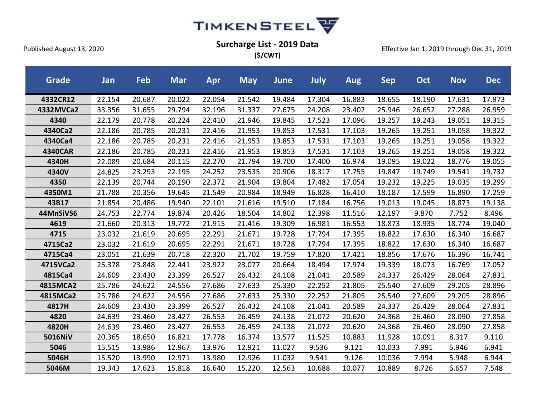

**(\$/CWT)**

| <b>Grade</b>   | Jan    | <b>Feb</b> | <b>Mar</b> | <b>Apr</b> | <b>May</b> | <b>June</b> | July   | <b>Aug</b> | <b>Sep</b> | Oct    | <b>Nov</b> | <b>Dec</b> |
|----------------|--------|------------|------------|------------|------------|-------------|--------|------------|------------|--------|------------|------------|
| 4332CR12       | 22.154 | 20.687     | 20.022     | 22.054     | 21.542     | 19.484      | 17.304 | 16.883     | 18.655     | 18.190 | 17.631     | 17.973     |
| 4332MVCa2      | 33.356 | 31.655     | 29.794     | 32.196     | 31.337     | 27.675      | 24.208 | 23.402     | 25.946     | 26.652 | 27.288     | 26.959     |
| 4340           | 22.179 | 20.778     | 20.224     | 22.410     | 21.946     | 19.845      | 17.523 | 17.096     | 19.257     | 19.243 | 19.051     | 19.315     |
| 4340Ca2        | 22.186 | 20.785     | 20.231     | 22.416     | 21.953     | 19.853      | 17.531 | 17.103     | 19.265     | 19.251 | 19.058     | 19.322     |
| 4340Ca4        | 22.186 | 20.785     | 20.231     | 22.416     | 21.953     | 19.853      | 17.531 | 17.103     | 19.265     | 19.251 | 19.058     | 19.322     |
| <b>4340CAR</b> | 22.186 | 20.785     | 20.231     | 22.416     | 21.953     | 19.853      | 17.531 | 17.103     | 19.265     | 19.251 | 19.058     | 19.322     |
| 4340H          | 22.089 | 20.684     | 20.115     | 22.270     | 21.794     | 19.700      | 17.400 | 16.974     | 19.095     | 19.022 | 18.776     | 19.055     |
| 4340V          | 24.825 | 23.293     | 22.195     | 24.252     | 23.535     | 20.906      | 18.317 | 17.755     | 19.847     | 19.749 | 19.541     | 19.732     |
| 4350           | 22.139 | 20.744     | 20.190     | 22.372     | 21.904     | 19.804      | 17.482 | 17.054     | 19.232     | 19.225 | 19.035     | 19.299     |
| 4350M1         | 21.788 | 20.356     | 19.645     | 21.549     | 20.984     | 18.949      | 16.828 | 16.410     | 18.187     | 17.599 | 16.890     | 17.259     |
| 43B17          | 21.854 | 20.486     | 19.940     | 22.101     | 21.616     | 19.510      | 17.184 | 16.756     | 19.013     | 19.045 | 18.873     | 19.138     |
| 44MnSiVS6      | 24.753 | 22.774     | 19.874     | 20.426     | 18.504     | 14.802      | 12.398 | 11.516     | 12.197     | 9.870  | 7.752      | 8.496      |
| 4619           | 21.660 | 20.313     | 19.772     | 21.915     | 21.416     | 19.309      | 16.981 | 16.553     | 18.873     | 18.935 | 18.774     | 19.040     |
| 4715           | 23.032 | 21.619     | 20.695     | 22.291     | 21.671     | 19.728      | 17.794 | 17.395     | 18.822     | 17.630 | 16.340     | 16.687     |
| 4715Ca2        | 23.032 | 21.619     | 20.695     | 22.291     | 21.671     | 19.728      | 17.794 | 17.395     | 18.822     | 17.630 | 16.340     | 16.687     |
| 4715Ca4        | 23.051 | 21.639     | 20.718     | 22.320     | 21.702     | 19.759      | 17.820 | 17.421     | 18.856     | 17.676 | 16.396     | 16.741     |
| 4715VCa2       | 25.378 | 23.848     | 22.441     | 23.922     | 23.077     | 20.664      | 18.494 | 17.974     | 19.339     | 18.073 | 16.769     | 17.052     |
| 4815Ca4        | 24.609 | 23.430     | 23.399     | 26.527     | 26.432     | 24.108      | 21.041 | 20.589     | 24.337     | 26.429 | 28.064     | 27.831     |
| 4815MCA2       | 25.786 | 24.622     | 24.556     | 27.686     | 27.633     | 25.330      | 22.252 | 21.805     | 25.540     | 27.609 | 29.205     | 28.896     |
| 4815MCa2       | 25.786 | 24.622     | 24.556     | 27.686     | 27.633     | 25.330      | 22.252 | 21.805     | 25.540     | 27.609 | 29.205     | 28.896     |
| 4817H          | 24.609 | 23.430     | 23.399     | 26.527     | 26.432     | 24.108      | 21.041 | 20.589     | 24.337     | 26.429 | 28.064     | 27.831     |
| 4820           | 24.639 | 23.460     | 23.427     | 26.553     | 26.459     | 24.138      | 21.072 | 20.620     | 24.368     | 26.460 | 28.090     | 27.858     |
| 4820H          | 24.639 | 23.460     | 23.427     | 26.553     | 26.459     | 24.138      | 21.072 | 20.620     | 24.368     | 26.460 | 28.090     | 27.858     |
| 5016NiV        | 20.365 | 18.650     | 16.821     | 17.778     | 16.374     | 13.577      | 11.525 | 10.883     | 11.928     | 10.091 | 8.317      | 9.110      |
| 5046           | 15.515 | 13.986     | 12.967     | 13.976     | 12.921     | 11.027      | 9.536  | 9.121      | 10.033     | 7.991  | 5.946      | 6.941      |
| 5046H          | 15.520 | 13.990     | 12.971     | 13.980     | 12.926     | 11.032      | 9.541  | 9.126      | 10.036     | 7.994  | 5.948      | 6.944      |
| 5046M          | 19.343 | 17.623     | 15.818     | 16.640     | 15.220     | 12.563      | 10.688 | 10.077     | 10.889     | 8.726  | 6.657      | 7.548      |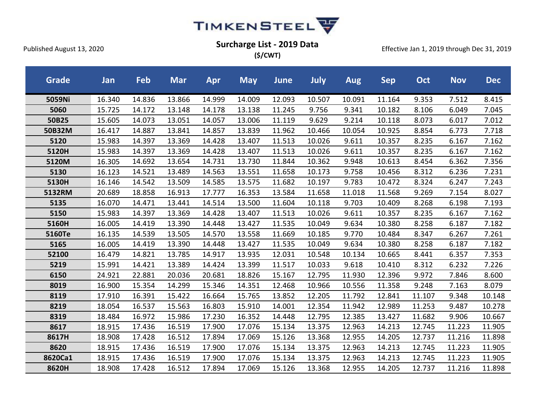

**(\$/CWT)**

| <b>Grade</b> | Jan    | <b>Feb</b> | <b>Mar</b> | <b>Apr</b> | <b>May</b> | <b>June</b> | July   | <b>Aug</b> | <b>Sep</b> | Oct    | <b>Nov</b> | <b>Dec</b> |
|--------------|--------|------------|------------|------------|------------|-------------|--------|------------|------------|--------|------------|------------|
| 5059Ni       | 16.340 | 14.836     | 13.866     | 14.999     | 14.009     | 12.093      | 10.507 | 10.091     | 11.164     | 9.353  | 7.512      | 8.415      |
| 5060         | 15.725 | 14.172     | 13.148     | 14.178     | 13.138     | 11.245      | 9.756  | 9.341      | 10.182     | 8.106  | 6.049      | 7.045      |
| 50B25        | 15.605 | 14.073     | 13.051     | 14.057     | 13.006     | 11.119      | 9.629  | 9.214      | 10.118     | 8.073  | 6.017      | 7.012      |
| 50B32M       | 16.417 | 14.887     | 13.841     | 14.857     | 13.839     | 11.962      | 10.466 | 10.054     | 10.925     | 8.854  | 6.773      | 7.718      |
| 5120         | 15.983 | 14.397     | 13.369     | 14.428     | 13.407     | 11.513      | 10.026 | 9.611      | 10.357     | 8.235  | 6.167      | 7.162      |
| 5120H        | 15.983 | 14.397     | 13.369     | 14.428     | 13.407     | 11.513      | 10.026 | 9.611      | 10.357     | 8.235  | 6.167      | 7.162      |
| 5120M        | 16.305 | 14.692     | 13.654     | 14.731     | 13.730     | 11.844      | 10.362 | 9.948      | 10.613     | 8.454  | 6.362      | 7.356      |
| 5130         | 16.123 | 14.521     | 13.489     | 14.563     | 13.551     | 11.658      | 10.173 | 9.758      | 10.456     | 8.312  | 6.236      | 7.231      |
| 5130H        | 16.146 | 14.542     | 13.509     | 14.585     | 13.575     | 11.682      | 10.197 | 9.783      | 10.472     | 8.324  | 6.247      | 7.243      |
| 5132RM       | 20.689 | 18.858     | 16.913     | 17.777     | 16.353     | 13.584      | 11.658 | 11.018     | 11.568     | 9.269  | 7.154      | 8.027      |
| 5135         | 16.070 | 14.471     | 13.441     | 14.514     | 13.500     | 11.604      | 10.118 | 9.703      | 10.409     | 8.268  | 6.198      | 7.193      |
| 5150         | 15.983 | 14.397     | 13.369     | 14.428     | 13.407     | 11.513      | 10.026 | 9.611      | 10.357     | 8.235  | 6.167      | 7.162      |
| 5160H        | 16.005 | 14.419     | 13.390     | 14.448     | 13.427     | 11.535      | 10.049 | 9.634      | 10.380     | 8.258  | 6.187      | 7.182      |
| 5160Te       | 16.135 | 14.539     | 13.505     | 14.570     | 13.558     | 11.669      | 10.185 | 9.770      | 10.484     | 8.347  | 6.267      | 7.261      |
| 5165         | 16.005 | 14.419     | 13.390     | 14.448     | 13.427     | 11.535      | 10.049 | 9.634      | 10.380     | 8.258  | 6.187      | 7.182      |
| 52100        | 16.479 | 14.821     | 13.785     | 14.917     | 13.935     | 12.031      | 10.548 | 10.134     | 10.665     | 8.441  | 6.357      | 7.353      |
| 5219         | 15.991 | 14.421     | 13.389     | 14.424     | 13.399     | 11.517      | 10.033 | 9.618      | 10.410     | 8.312  | 6.232      | 7.226      |
| 6150         | 24.921 | 22.881     | 20.036     | 20.681     | 18.826     | 15.167      | 12.795 | 11.930     | 12.396     | 9.972  | 7.846      | 8.600      |
| 8019         | 16.900 | 15.354     | 14.299     | 15.346     | 14.351     | 12.468      | 10.966 | 10.556     | 11.358     | 9.248  | 7.163      | 8.079      |
| 8119         | 17.910 | 16.391     | 15.422     | 16.664     | 15.765     | 13.852      | 12.205 | 11.792     | 12.841     | 11.107 | 9.348      | 10.148     |
| 8219         | 18.054 | 16.537     | 15.563     | 16.803     | 15.910     | 14.001      | 12.354 | 11.942     | 12.989     | 11.253 | 9.487      | 10.278     |
| 8319         | 18.484 | 16.972     | 15.986     | 17.230     | 16.352     | 14.448      | 12.795 | 12.385     | 13.427     | 11.682 | 9.906      | 10.667     |
| 8617         | 18.915 | 17.436     | 16.519     | 17.900     | 17.076     | 15.134      | 13.375 | 12.963     | 14.213     | 12.745 | 11.223     | 11.905     |
| 8617H        | 18.908 | 17.428     | 16.512     | 17.894     | 17.069     | 15.126      | 13.368 | 12.955     | 14.205     | 12.737 | 11.216     | 11.898     |
| 8620         | 18.915 | 17.436     | 16.519     | 17.900     | 17.076     | 15.134      | 13.375 | 12.963     | 14.213     | 12.745 | 11.223     | 11.905     |
| 8620Ca1      | 18.915 | 17.436     | 16.519     | 17.900     | 17.076     | 15.134      | 13.375 | 12.963     | 14.213     | 12.745 | 11.223     | 11.905     |
| 8620H        | 18.908 | 17.428     | 16.512     | 17.894     | 17.069     | 15.126      | 13.368 | 12.955     | 14.205     | 12.737 | 11.216     | 11.898     |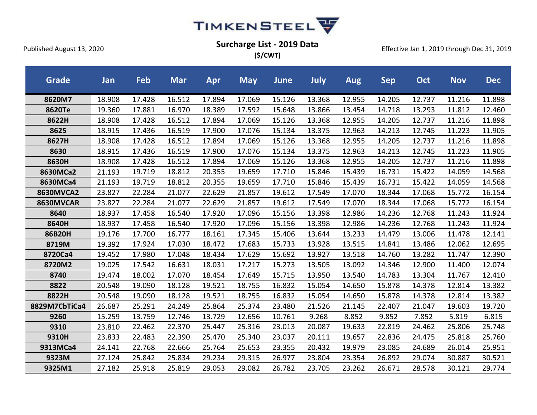

**(\$/CWT)**

| <b>Grade</b>     | Jan    | Feb    | <b>Mar</b> | Apr    | <b>May</b> | <b>June</b> | July   | <b>Aug</b> | <b>Sep</b> | Oct    | <b>Nov</b> | <b>Dec</b> |
|------------------|--------|--------|------------|--------|------------|-------------|--------|------------|------------|--------|------------|------------|
| 8620M7           | 18.908 | 17.428 | 16.512     | 17.894 | 17.069     | 15.126      | 13.368 | 12.955     | 14.205     | 12.737 | 11.216     | 11.898     |
| 8620Te           | 19.360 | 17.881 | 16.970     | 18.389 | 17.592     | 15.648      | 13.866 | 13.454     | 14.718     | 13.293 | 11.812     | 12.460     |
| 8622H            | 18.908 | 17.428 | 16.512     | 17.894 | 17.069     | 15.126      | 13.368 | 12.955     | 14.205     | 12.737 | 11.216     | 11.898     |
| 8625             | 18.915 | 17.436 | 16.519     | 17.900 | 17.076     | 15.134      | 13.375 | 12.963     | 14.213     | 12.745 | 11.223     | 11.905     |
| 8627H            | 18.908 | 17.428 | 16.512     | 17.894 | 17.069     | 15.126      | 13.368 | 12.955     | 14.205     | 12.737 | 11.216     | 11.898     |
| 8630             | 18.915 | 17.436 | 16.519     | 17.900 | 17.076     | 15.134      | 13.375 | 12.963     | 14.213     | 12.745 | 11.223     | 11.905     |
| 8630H            | 18.908 | 17.428 | 16.512     | 17.894 | 17.069     | 15.126      | 13.368 | 12.955     | 14.205     | 12.737 | 11.216     | 11.898     |
| 8630MCa2         | 21.193 | 19.719 | 18.812     | 20.355 | 19.659     | 17.710      | 15.846 | 15.439     | 16.731     | 15.422 | 14.059     | 14.568     |
| 8630MCa4         | 21.193 | 19.719 | 18.812     | 20.355 | 19.659     | 17.710      | 15.846 | 15.439     | 16.731     | 15.422 | 14.059     | 14.568     |
| <b>8630MVCA2</b> | 23.827 | 22.284 | 21.077     | 22.629 | 21.857     | 19.612      | 17.549 | 17.070     | 18.344     | 17.068 | 15.772     | 16.154     |
| 8630MVCAR        | 23.827 | 22.284 | 21.077     | 22.629 | 21.857     | 19.612      | 17.549 | 17.070     | 18.344     | 17.068 | 15.772     | 16.154     |
| 8640             | 18.937 | 17.458 | 16.540     | 17.920 | 17.096     | 15.156      | 13.398 | 12.986     | 14.236     | 12.768 | 11.243     | 11.924     |
| 8640H            | 18.937 | 17.458 | 16.540     | 17.920 | 17.096     | 15.156      | 13.398 | 12.986     | 14.236     | 12.768 | 11.243     | 11.924     |
| 86B20H           | 19.176 | 17.700 | 16.777     | 18.161 | 17.345     | 15.406      | 13.644 | 13.233     | 14.479     | 13.006 | 11.478     | 12.141     |
| 8719M            | 19.392 | 17.924 | 17.030     | 18.472 | 17.683     | 15.733      | 13.928 | 13.515     | 14.841     | 13.486 | 12.062     | 12.695     |
| 8720Ca4          | 19.452 | 17.980 | 17.048     | 18.434 | 17.629     | 15.692      | 13.927 | 13.518     | 14.760     | 13.282 | 11.747     | 12.390     |
| 8720M2           | 19.025 | 17.542 | 16.631     | 18.031 | 17.217     | 15.273      | 13.505 | 13.092     | 14.346     | 12.900 | 11.400     | 12.074     |
| 8740             | 19.474 | 18.002 | 17.070     | 18.454 | 17.649     | 15.715      | 13.950 | 13.540     | 14.783     | 13.304 | 11.767     | 12.410     |
| 8822             | 20.548 | 19.090 | 18.128     | 19.521 | 18.755     | 16.832      | 15.054 | 14.650     | 15.878     | 14.378 | 12.814     | 13.382     |
| 8822H            | 20.548 | 19.090 | 18.128     | 19.521 | 18.755     | 16.832      | 15.054 | 14.650     | 15.878     | 14.378 | 12.814     | 13.382     |
| 8829M7CbTiCa4    | 26.687 | 25.291 | 24.249     | 25.864 | 25.374     | 23.480      | 21.526 | 21.145     | 22.407     | 21.047 | 19.603     | 19.720     |
| 9260             | 15.259 | 13.759 | 12.746     | 13.729 | 12.656     | 10.761      | 9.268  | 8.852      | 9.852      | 7.852  | 5.819      | 6.815      |
| 9310             | 23.810 | 22.462 | 22.370     | 25.447 | 25.316     | 23.013      | 20.087 | 19.633     | 22.819     | 24.462 | 25.806     | 25.748     |
| 9310H            | 23.833 | 22.483 | 22.390     | 25.470 | 25.340     | 23.037      | 20.111 | 19.657     | 22.836     | 24.475 | 25.818     | 25.760     |
| 9313MCa4         | 24.141 | 22.768 | 22.666     | 25.764 | 25.653     | 23.355      | 20.432 | 19.979     | 23.085     | 24.689 | 26.014     | 25.951     |
| 9323M            | 27.124 | 25.842 | 25.834     | 29.234 | 29.315     | 26.977      | 23.804 | 23.354     | 26.892     | 29.074 | 30.887     | 30.521     |
| 9325M1           | 27.182 | 25.918 | 25.819     | 29.053 | 29.082     | 26.782      | 23.705 | 23.262     | 26.671     | 28.578 | 30.121     | 29.774     |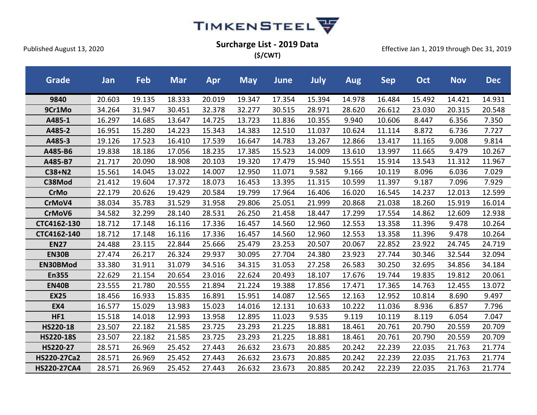![](_page_9_Picture_0.jpeg)

**(\$/CWT)**

| <b>Grade</b>       | Jan    | Feb    | <b>Mar</b> | <b>Apr</b> | <b>May</b> | <b>June</b> | July   | <b>Aug</b> | <b>Sep</b> | <b>Oct</b> | <b>Nov</b> | <b>Dec</b> |
|--------------------|--------|--------|------------|------------|------------|-------------|--------|------------|------------|------------|------------|------------|
| 9840               | 20.603 | 19.135 | 18.333     | 20.019     | 19.347     | 17.354      | 15.394 | 14.978     | 16.484     | 15.492     | 14.421     | 14.931     |
| 9Cr1Mo             | 34.264 | 31.947 | 30.451     | 32.378     | 32.277     | 30.515      | 28.971 | 28.620     | 26.612     | 23.030     | 20.315     | 20.548     |
| A485-1             | 16.297 | 14.685 | 13.647     | 14.725     | 13.723     | 11.836      | 10.355 | 9.940      | 10.606     | 8.447      | 6.356      | 7.350      |
| A485-2             | 16.951 | 15.280 | 14.223     | 15.343     | 14.383     | 12.510      | 11.037 | 10.624     | 11.114     | 8.872      | 6.736      | 7.727      |
| A485-3             | 19.126 | 17.523 | 16.410     | 17.539     | 16.647     | 14.783      | 13.267 | 12.866     | 13.417     | 11.165     | 9.008      | 9.814      |
| A485-B6            | 19.838 | 18.186 | 17.056     | 18.235     | 17.385     | 15.523      | 14.009 | 13.610     | 13.997     | 11.665     | 9.479      | 10.267     |
| A485-B7            | 21.717 | 20.090 | 18.908     | 20.103     | 19.320     | 17.479      | 15.940 | 15.551     | 15.914     | 13.543     | 11.312     | 11.967     |
| C38+N2             | 15.561 | 14.045 | 13.022     | 14.007     | 12.950     | 11.071      | 9.582  | 9.166      | 10.119     | 8.096      | 6.036      | 7.029      |
| C38Mod             | 21.412 | 19.604 | 17.372     | 18.073     | 16.453     | 13.395      | 11.315 | 10.599     | 11.397     | 9.187      | 7.096      | 7.929      |
| <b>CrMo</b>        | 22.179 | 20.626 | 19.429     | 20.584     | 19.799     | 17.964      | 16.406 | 16.020     | 16.545     | 14.237     | 12.013     | 12.599     |
| CrMoV4             | 38.034 | 35.783 | 31.529     | 31.958     | 29.806     | 25.051      | 21.999 | 20.868     | 21.038     | 18.260     | 15.919     | 16.014     |
| CrMoV6             | 34.582 | 32.299 | 28.140     | 28.531     | 26.250     | 21.458      | 18.447 | 17.299     | 17.554     | 14.862     | 12.609     | 12.938     |
| CTC4162-130        | 18.712 | 17.148 | 16.116     | 17.336     | 16.457     | 14.560      | 12.960 | 12.553     | 13.358     | 11.396     | 9.478      | 10.264     |
| CTC4162-140        | 18.712 | 17.148 | 16.116     | 17.336     | 16.457     | 14.560      | 12.960 | 12.553     | 13.358     | 11.396     | 9.478      | 10.264     |
| <b>EN27</b>        | 24.488 | 23.115 | 22.844     | 25.666     | 25.479     | 23.253      | 20.507 | 20.067     | 22.852     | 23.922     | 24.745     | 24.719     |
| <b>EN30B</b>       | 27.474 | 26.217 | 26.324     | 29.937     | 30.095     | 27.704      | 24.380 | 23.923     | 27.744     | 30.346     | 32.544     | 32.094     |
| EN30BMod           | 33.380 | 31.911 | 31.079     | 34.516     | 34.315     | 31.053      | 27.258 | 26.583     | 30.250     | 32.695     | 34.856     | 34.184     |
| <b>En355</b>       | 22.629 | 21.154 | 20.654     | 23.016     | 22.624     | 20.493      | 18.107 | 17.676     | 19.744     | 19.835     | 19.812     | 20.061     |
| <b>EN40B</b>       | 23.555 | 21.780 | 20.555     | 21.894     | 21.224     | 19.388      | 17.856 | 17.471     | 17.365     | 14.763     | 12.455     | 13.072     |
| <b>EX25</b>        | 18.456 | 16.933 | 15.835     | 16.891     | 15.951     | 14.087      | 12.565 | 12.163     | 12.952     | 10.814     | 8.690      | 9.497      |
| EX4                | 16.577 | 15.029 | 13.983     | 15.023     | 14.016     | 12.131      | 10.633 | 10.222     | 11.036     | 8.936      | 6.857      | 7.796      |
| HF1                | 15.518 | 14.018 | 12.993     | 13.958     | 12.895     | 11.023      | 9.535  | 9.119      | 10.119     | 8.119      | 6.054      | 7.047      |
| HS220-18           | 23.507 | 22.182 | 21.585     | 23.725     | 23.293     | 21.225      | 18.881 | 18.461     | 20.761     | 20.790     | 20.559     | 20.709     |
| <b>HS220-18S</b>   | 23.507 | 22.182 | 21.585     | 23.725     | 23.293     | 21.225      | 18.881 | 18.461     | 20.761     | 20.790     | 20.559     | 20.709     |
| HS220-27           | 28.571 | 26.969 | 25.452     | 27.443     | 26.632     | 23.673      | 20.885 | 20.242     | 22.239     | 22.035     | 21.763     | 21.774     |
| HS220-27Ca2        | 28.571 | 26.969 | 25.452     | 27.443     | 26.632     | 23.673      | 20.885 | 20.242     | 22.239     | 22.035     | 21.763     | 21.774     |
| <b>HS220-27CA4</b> | 28.571 | 26.969 | 25.452     | 27.443     | 26.632     | 23.673      | 20.885 | 20.242     | 22.239     | 22.035     | 21.763     | 21.774     |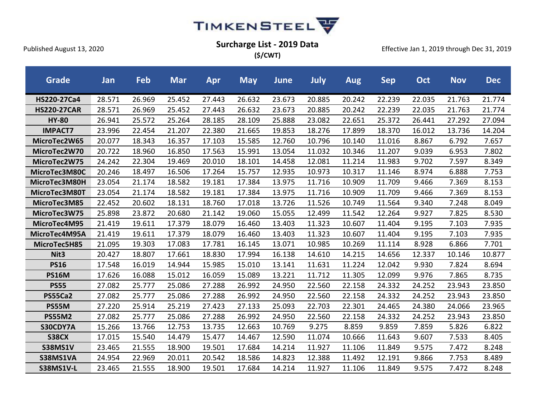![](_page_10_Picture_0.jpeg)

**(\$/CWT)**

| Grade              | Jan    | Feb    | <b>Mar</b> | Apr    | <b>May</b> | <b>June</b> | July   | <b>Aug</b> | <b>Sep</b> | Oct    | <b>Nov</b> | <b>Dec</b> |
|--------------------|--------|--------|------------|--------|------------|-------------|--------|------------|------------|--------|------------|------------|
| HS220-27Ca4        | 28.571 | 26.969 | 25.452     | 27.443 | 26.632     | 23.673      | 20.885 | 20.242     | 22.239     | 22.035 | 21.763     | 21.774     |
| <b>HS220-27CAR</b> | 28.571 | 26.969 | 25.452     | 27.443 | 26.632     | 23.673      | 20.885 | 20.242     | 22.239     | 22.035 | 21.763     | 21.774     |
| <b>HY-80</b>       | 26.941 | 25.572 | 25.264     | 28.185 | 28.109     | 25.888      | 23.082 | 22.651     | 25.372     | 26.441 | 27.292     | 27.094     |
| <b>IMPACT7</b>     | 23.996 | 22.454 | 21.207     | 22.380 | 21.665     | 19.853      | 18.276 | 17.899     | 18.370     | 16.012 | 13.736     | 14.204     |
| MicroTec2W65       | 20.077 | 18.343 | 16.357     | 17.103 | 15.585     | 12.760      | 10.796 | 10.140     | 11.016     | 8.867  | 6.792      | 7.657      |
| MicroTec2W70       | 20.722 | 18.960 | 16.850     | 17.563 | 15.991     | 13.054      | 11.032 | 10.346     | 11.207     | 9.039  | 6.953      | 7.802      |
| MicroTec2W75       | 24.242 | 22.304 | 19.469     | 20.010 | 18.101     | 14.458      | 12.081 | 11.214     | 11.983     | 9.702  | 7.597      | 8.349      |
| MicroTec3M80C      | 20.246 | 18.497 | 16.506     | 17.264 | 15.757     | 12.935      | 10.973 | 10.317     | 11.146     | 8.974  | 6.888      | 7.753      |
| MicroTec3M80H      | 23.054 | 21.174 | 18.582     | 19.181 | 17.384     | 13.975      | 11.716 | 10.909     | 11.709     | 9.466  | 7.369      | 8.153      |
| MicroTec3M80T      | 23.054 | 21.174 | 18.582     | 19.181 | 17.384     | 13.975      | 11.716 | 10.909     | 11.709     | 9.466  | 7.369      | 8.153      |
| MicroTec3M85       | 22.452 | 20.602 | 18.131     | 18.760 | 17.018     | 13.726      | 11.526 | 10.749     | 11.564     | 9.340  | 7.248      | 8.049      |
| MicroTec3W75       | 25.898 | 23.872 | 20.680     | 21.142 | 19.060     | 15.055      | 12.499 | 11.542     | 12.264     | 9.927  | 7.825      | 8.530      |
| MicroTec4M95       | 21.419 | 19.611 | 17.379     | 18.079 | 16.460     | 13.403      | 11.323 | 10.607     | 11.404     | 9.195  | 7.103      | 7.935      |
| MicroTec4M95A      | 21.419 | 19.611 | 17.379     | 18.079 | 16.460     | 13.403      | 11.323 | 10.607     | 11.404     | 9.195  | 7.103      | 7.935      |
| MicroTec5H85       | 21.095 | 19.303 | 17.083     | 17.781 | 16.145     | 13.071      | 10.985 | 10.269     | 11.114     | 8.928  | 6.866      | 7.701      |
| Nit <sub>3</sub>   | 20.427 | 18.807 | 17.661     | 18.830 | 17.994     | 16.138      | 14.610 | 14.215     | 14.656     | 12.337 | 10.146     | 10.877     |
| <b>PS16</b>        | 17.548 | 16.019 | 14.944     | 15.985 | 15.010     | 13.141      | 11.631 | 11.224     | 12.042     | 9.930  | 7.824      | 8.694      |
| <b>PS16M</b>       | 17.626 | 16.088 | 15.012     | 16.059 | 15.089     | 13.221      | 11.712 | 11.305     | 12.099     | 9.976  | 7.865      | 8.735      |
| <b>PS55</b>        | 27.082 | 25.777 | 25.086     | 27.288 | 26.992     | 24.950      | 22.560 | 22.158     | 24.332     | 24.252 | 23.943     | 23.850     |
| <b>PS55Ca2</b>     | 27.082 | 25.777 | 25.086     | 27.288 | 26.992     | 24.950      | 22.560 | 22.158     | 24.332     | 24.252 | 23.943     | 23.850     |
| PS55M              | 27.220 | 25.914 | 25.219     | 27.423 | 27.133     | 25.093      | 22.703 | 22.301     | 24.465     | 24.380 | 24.066     | 23.965     |
| <b>PS55M2</b>      | 27.082 | 25.777 | 25.086     | 27.288 | 26.992     | 24.950      | 22.560 | 22.158     | 24.332     | 24.252 | 23.943     | 23.850     |
| S30CDY7A           | 15.266 | 13.766 | 12.753     | 13.735 | 12.663     | 10.769      | 9.275  | 8.859      | 9.859      | 7.859  | 5.826      | 6.822      |
| <b>S38CX</b>       | 17.015 | 15.540 | 14.479     | 15.477 | 14.467     | 12.590      | 11.074 | 10.666     | 11.643     | 9.607  | 7.533      | 8.405      |
| <b>S38MS1V</b>     | 23.465 | 21.555 | 18.900     | 19.501 | 17.684     | 14.214      | 11.927 | 11.106     | 11.849     | 9.575  | 7.472      | 8.248      |
| S38MS1VA           | 24.954 | 22.969 | 20.011     | 20.542 | 18.586     | 14.823      | 12.388 | 11.492     | 12.191     | 9.866  | 7.753      | 8.489      |
| <b>S38MS1V-L</b>   | 23.465 | 21.555 | 18.900     | 19.501 | 17.684     | 14.214      | 11.927 | 11.106     | 11.849     | 9.575  | 7.472      | 8.248      |